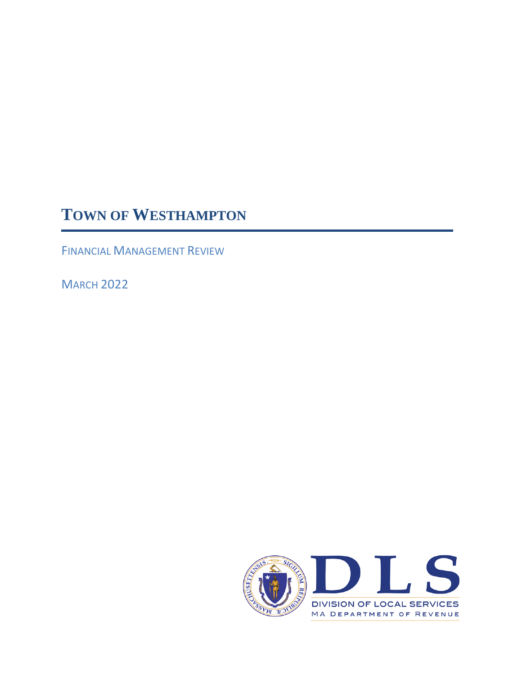# **TOWN OF WESTHAMPTON**

FINANCIAL MANAGEMENT REVIEW

**MARCH 2022** 

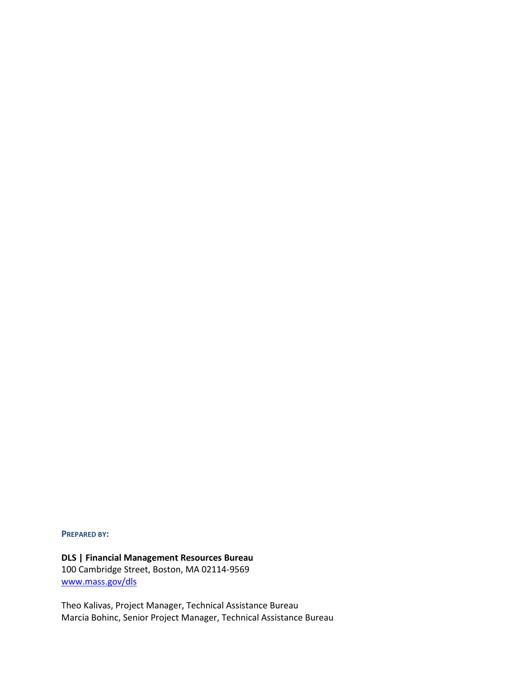**PREPARED BY:**

**DLS | Financial Management Resources Bureau** 100 Cambridge Street, Boston, MA 02114-9569 [www.mass.gov/dls](http://www.mass.gov/dls)

Theo Kalivas, Project Manager, Technical Assistance Bureau Marcia Bohinc, Senior Project Manager, Technical Assistance Bureau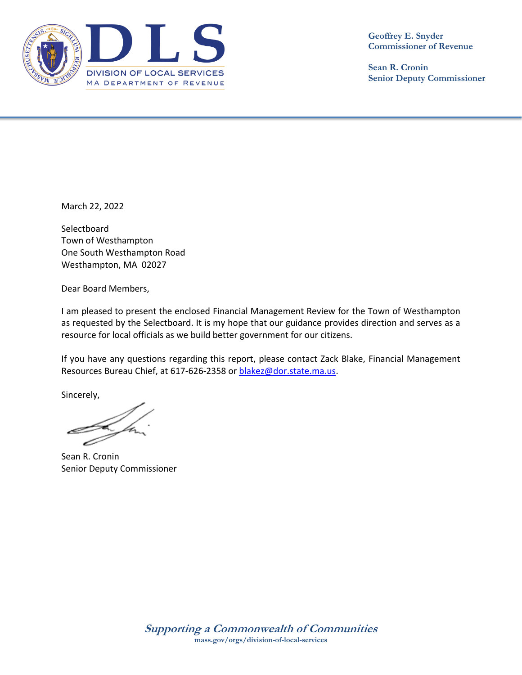

**Geoffrey E. Snyder Commissioner of Revenue**

**Sean R. Cronin Senior Deputy Commissioner**

March 22, 2022

**Selectboard** Town of Westhampton One South Westhampton Road Westhampton, MA 02027

Dear Board Members,

I am pleased to present the enclosed Financial Management Review for the Town of Westhampton as requested by the Selectboard. It is my hope that our guidance provides direction and serves as a resource for local officials as we build better government for our citizens.

If you have any questions regarding this report, please contact Zack Blake, Financial Management Resources Bureau Chief, at 617-626-2358 or [blakez@dor.state.ma.us.](mailto:blakez@dor.state.ma.us)

Sincerely,

Sean R. Cronin Senior Deputy Commissioner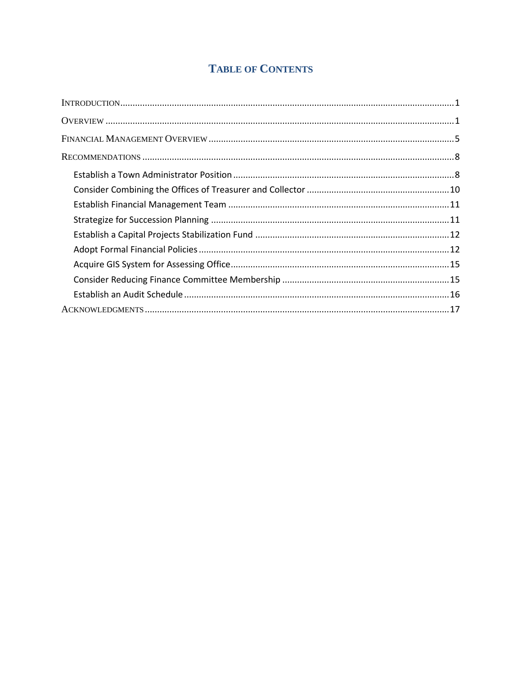# **TABLE OF CONTENTS**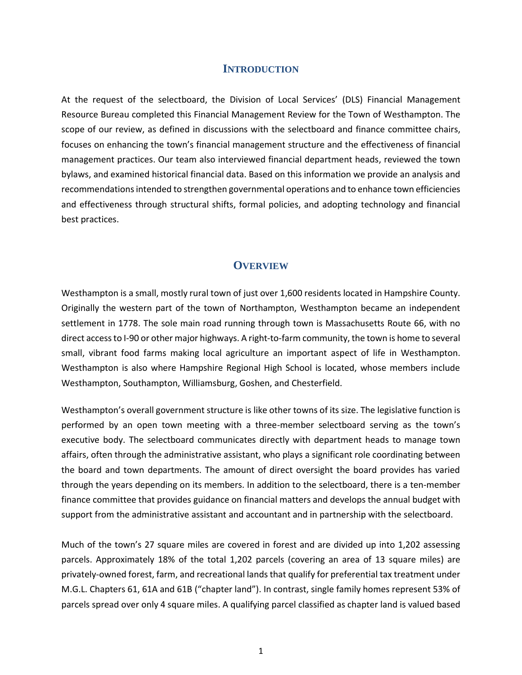#### **INTRODUCTION**

<span id="page-6-0"></span>At the request of the selectboard, the Division of Local Services' (DLS) Financial Management Resource Bureau completed this Financial Management Review for the Town of Westhampton. The scope of our review, as defined in discussions with the selectboard and finance committee chairs, focuses on enhancing the town's financial management structure and the effectiveness of financial management practices. Our team also interviewed financial department heads, reviewed the town bylaws, and examined historical financial data. Based on this information we provide an analysis and recommendations intended to strengthen governmental operations and to enhance town efficiencies and effectiveness through structural shifts, formal policies, and adopting technology and financial best practices.

#### **OVERVIEW**

<span id="page-6-1"></span>Westhampton is a small, mostly rural town of just over 1,600 residents located in Hampshire County. Originally the western part of the town of Northampton, Westhampton became an independent settlement in 1778. The sole main road running through town is Massachusetts Route 66, with no direct access to I-90 or other major highways. A right-to-farm community, the town is home to several small, vibrant food farms making local agriculture an important aspect of life in Westhampton. Westhampton is also where Hampshire Regional High School is located, whose members include Westhampton, Southampton, Williamsburg, Goshen, and Chesterfield.

Westhampton's overall government structure is like other towns of its size. The legislative function is performed by an open town meeting with a three-member selectboard serving as the town's executive body. The selectboard communicates directly with department heads to manage town affairs, often through the administrative assistant, who plays a significant role coordinating between the board and town departments. The amount of direct oversight the board provides has varied through the years depending on its members. In addition to the selectboard, there is a ten-member finance committee that provides guidance on financial matters and develops the annual budget with support from the administrative assistant and accountant and in partnership with the selectboard.

Much of the town's 27 square miles are covered in forest and are divided up into 1,202 assessing parcels. Approximately 18% of the total 1,202 parcels (covering an area of 13 square miles) are privately-owned forest, farm, and recreational lands that qualify for preferential tax treatment under M.G.L. Chapters 61, 61A and 61B ("chapter land"). In contrast, single family homes represent 53% of parcels spread over only 4 square miles. A qualifying parcel classified as chapter land is valued based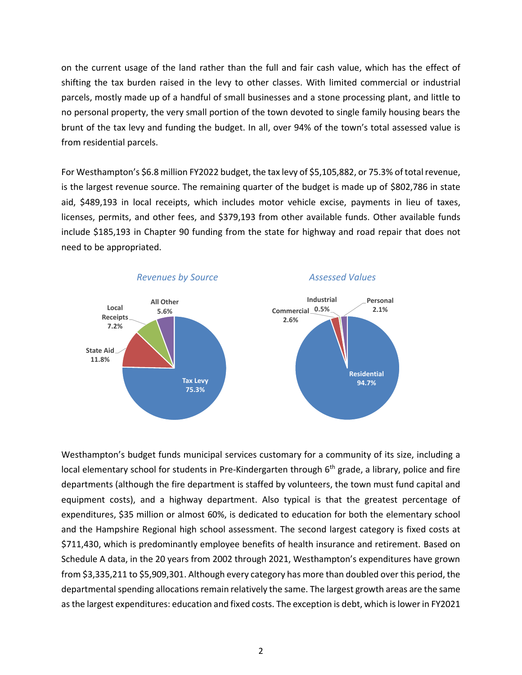on the current usage of the land rather than the full and fair cash value, which has the effect of shifting the tax burden raised in the levy to other classes. With limited commercial or industrial parcels, mostly made up of a handful of small businesses and a stone processing plant, and little to no personal property, the very small portion of the town devoted to single family housing bears the brunt of the tax levy and funding the budget. In all, over 94% of the town's total assessed value is from residential parcels.

For Westhampton's \$6.8 million FY2022 budget, the tax levy of \$5,105,882, or 75.3% of total revenue, is the largest revenue source. The remaining quarter of the budget is made up of \$802,786 in state aid, \$489,193 in local receipts, which includes motor vehicle excise, payments in lieu of taxes, licenses, permits, and other fees, and \$379,193 from other available funds. Other available funds include \$185,193 in Chapter 90 funding from the state for highway and road repair that does not need to be appropriated.



Westhampton's budget funds municipal services customary for a community of its size, including a local elementary school for students in Pre-Kindergarten through 6<sup>th</sup> grade, a library, police and fire departments (although the fire department is staffed by volunteers, the town must fund capital and equipment costs), and a highway department. Also typical is that the greatest percentage of expenditures, \$35 million or almost 60%, is dedicated to education for both the elementary school and the Hampshire Regional high school assessment. The second largest category is fixed costs at \$711,430, which is predominantly employee benefits of health insurance and retirement. Based on Schedule A data, in the 20 years from 2002 through 2021, Westhampton's expenditures have grown from \$3,335,211 to \$5,909,301. Although every category has more than doubled over this period, the departmental spending allocations remain relatively the same. The largest growth areas are the same as the largest expenditures: education and fixed costs. The exception is debt, which is lower in FY2021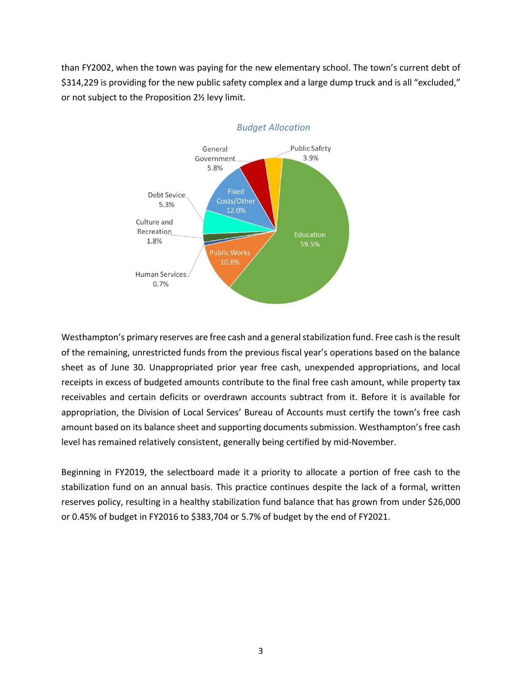than FY2002, when the town was paying for the new elementary school. The town's current debt of \$314,229 is providing for the new public safety complex and a large dump truck and is all "excluded," or not subject to the Proposition 2½ levy limit.



#### *Budget Allocation*

Westhampton's primary reserves are free cash and a general stabilization fund. Free cash is the result of the remaining, unrestricted funds from the previous fiscal year's operations based on the balance sheet as of June 30. Unappropriated prior year free cash, unexpended appropriations, and local receipts in excess of budgeted amounts contribute to the final free cash amount, while property tax receivables and certain deficits or overdrawn accounts subtract from it. Before it is available for appropriation, the Division of Local Services' Bureau of Accounts must certify the town's free cash amount based on its balance sheet and supporting documents submission. Westhampton's free cash level has remained relatively consistent, generally being certified by mid-November.

Beginning in FY2019, the selectboard made it a priority to allocate a portion of free cash to the stabilization fund on an annual basis. This practice continues despite the lack of a formal, written reserves policy, resulting in a healthy stabilization fund balance that has grown from under \$26,000 or 0.45% of budget in FY2016 to \$383,704 or 5.7% of budget by the end of FY2021.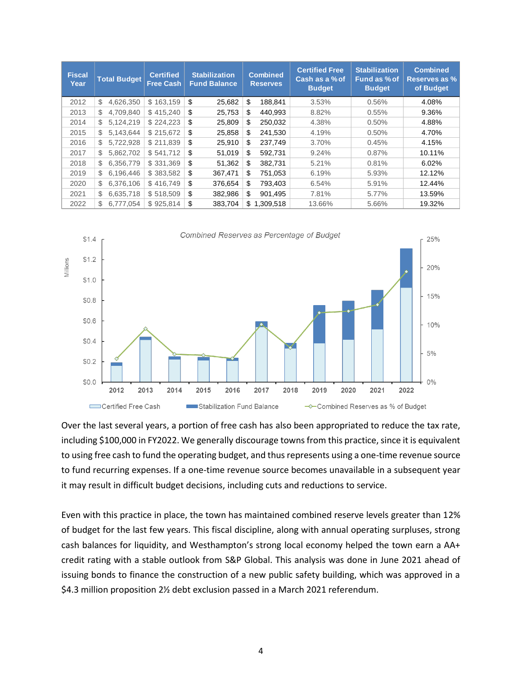| <b>Fiscal</b><br>Year | <b>Total Budget</b> | <b>Certified</b><br><b>Free Cash</b> | <b>Stabilization</b><br><b>Fund Balance</b> | <b>Combined</b><br><b>Reserves</b> | <b>Certified Free</b><br>Cash as a % of<br><b>Budget</b> | <b>Stabilization</b><br>Fund as % of<br><b>Budget</b> | <b>Combined</b><br><b>Reserves as %</b><br>of Budget |
|-----------------------|---------------------|--------------------------------------|---------------------------------------------|------------------------------------|----------------------------------------------------------|-------------------------------------------------------|------------------------------------------------------|
| 2012                  | \$<br>4.626.350     | \$163,159                            | \$<br>25,682                                | \$<br>188,841                      | 3.53%                                                    | 0.56%                                                 | 4.08%                                                |
| 2013                  | \$<br>4.709.840     | \$415.240                            | \$<br>25,753                                | \$<br>440,993                      | 8.82%                                                    | 0.55%                                                 | 9.36%                                                |
| 2014                  | \$<br>5,124,219     | \$224.223                            | \$<br>25.809                                | \$<br>250,032                      | 4.38%                                                    | 0.50%                                                 | 4.88%                                                |
| 2015                  | \$<br>5.143.644     | \$215,672                            | \$<br>25,858                                | \$<br>241,530                      | 4.19%                                                    | 0.50%                                                 | 4.70%                                                |
| 2016                  | \$<br>5,722,928     | \$211.839                            | \$<br>25,910                                | \$<br>237,749                      | 3.70%                                                    | 0.45%                                                 | 4.15%                                                |
| 2017                  | \$<br>5.862.702     | \$541.712                            | \$<br>51.019                                | \$<br>592,731                      | 9.24%                                                    | 0.87%                                                 | 10.11%                                               |
| 2018                  | \$<br>6,356,779     | \$331,369                            | \$<br>51,362                                | \$<br>382,731                      | 5.21%                                                    | 0.81%                                                 | 6.02%                                                |
| 2019                  | \$<br>6,196,446     | \$383,582                            | \$<br>367,471                               | \$<br>751,053                      | 6.19%                                                    | 5.93%                                                 | 12.12%                                               |
| 2020                  | \$<br>6,376,106     | \$416.749                            | \$<br>376,654                               | \$<br>793,403                      | 6.54%                                                    | 5.91%                                                 | 12.44%                                               |
| 2021                  | \$<br>6,635,718     | \$518,509                            | \$<br>382,986                               | \$<br>901,495                      | 7.81%                                                    | 5.77%                                                 | 13.59%                                               |
| 2022                  | \$<br>6.777.054     | \$925.814                            | \$<br>383.704                               | \$<br>1.309.518                    | 13.66%                                                   | 5.66%                                                 | 19.32%                                               |



Over the last several years, a portion of free cash has also been appropriated to reduce the tax rate, including \$100,000 in FY2022. We generally discourage towns from this practice, since it is equivalent to using free cash to fund the operating budget, and thus represents using a one-time revenue source to fund recurring expenses. If a one-time revenue source becomes unavailable in a subsequent year it may result in difficult budget decisions, including cuts and reductions to service.

<span id="page-9-0"></span>Even with this practice in place, the town has maintained combined reserve levels greater than 12% of budget for the last few years. This fiscal discipline, along with annual operating surpluses, strong cash balances for liquidity, and Westhampton's strong local economy helped the town earn a AA+ credit rating with a stable outlook from S&P Global. This analysis was done in June 2021 ahead of issuing bonds to finance the construction of a new public safety building, which was approved in a \$4.3 million proposition 2½ debt exclusion passed in a March 2021 referendum.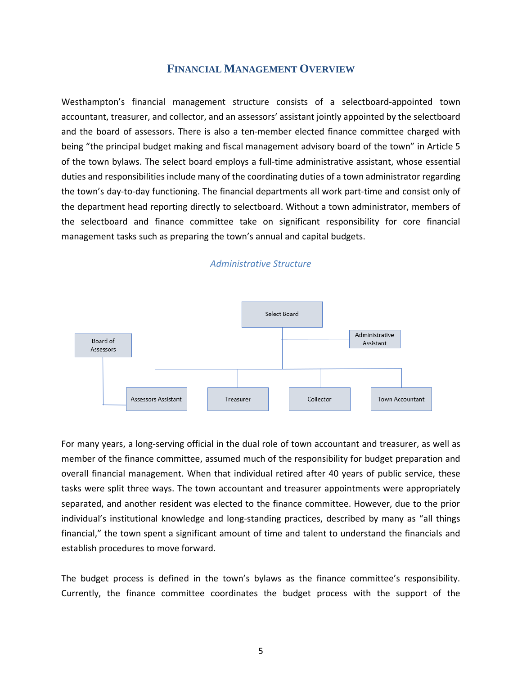# **FINANCIAL MANAGEMENT OVERVIEW**

Westhampton's financial management structure consists of a selectboard-appointed town accountant, treasurer, and collector, and an assessors' assistant jointly appointed by the selectboard and the board of assessors. There is also a ten-member elected finance committee charged with being "the principal budget making and fiscal management advisory board of the town" in Article 5 of the town bylaws. The select board employs a full-time administrative assistant, whose essential duties and responsibilities include many of the coordinating duties of a town administrator regarding the town's day-to-day functioning. The financial departments all work part-time and consist only of the department head reporting directly to selectboard. Without a town administrator, members of the selectboard and finance committee take on significant responsibility for core financial management tasks such as preparing the town's annual and capital budgets.



# *Administrative Structure*

For many years, a long-serving official in the dual role of town accountant and treasurer, as well as member of the finance committee, assumed much of the responsibility for budget preparation and overall financial management. When that individual retired after 40 years of public service, these tasks were split three ways. The town accountant and treasurer appointments were appropriately separated, and another resident was elected to the finance committee. However, due to the prior individual's institutional knowledge and long-standing practices, described by many as "all things financial," the town spent a significant amount of time and talent to understand the financials and establish procedures to move forward.

The budget process is defined in the town's bylaws as the finance committee's responsibility. Currently, the finance committee coordinates the budget process with the support of the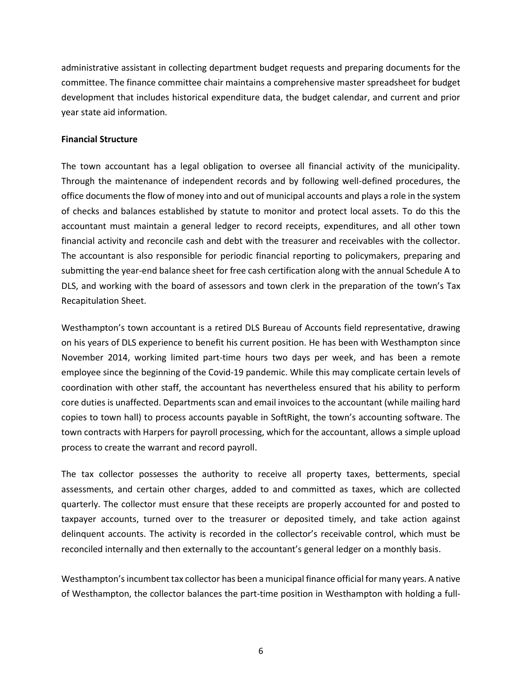administrative assistant in collecting department budget requests and preparing documents for the committee. The finance committee chair maintains a comprehensive master spreadsheet for budget development that includes historical expenditure data, the budget calendar, and current and prior year state aid information.

#### **Financial Structure**

The town accountant has a legal obligation to oversee all financial activity of the municipality. Through the maintenance of independent records and by following well-defined procedures, the office documents the flow of money into and out of municipal accounts and plays a role in the system of checks and balances established by statute to monitor and protect local assets. To do this the accountant must maintain a general ledger to record receipts, expenditures, and all other town financial activity and reconcile cash and debt with the treasurer and receivables with the collector. The accountant is also responsible for periodic financial reporting to policymakers, preparing and submitting the year-end balance sheet for free cash certification along with the annual Schedule A to DLS, and working with the board of assessors and town clerk in the preparation of the town's Tax Recapitulation Sheet.

Westhampton's town accountant is a retired DLS Bureau of Accounts field representative, drawing on his years of DLS experience to benefit his current position. He has been with Westhampton since November 2014, working limited part-time hours two days per week, and has been a remote employee since the beginning of the Covid-19 pandemic. While this may complicate certain levels of coordination with other staff, the accountant has nevertheless ensured that his ability to perform core duties is unaffected. Departments scan and email invoices to the accountant (while mailing hard copies to town hall) to process accounts payable in SoftRight, the town's accounting software. The town contracts with Harpers for payroll processing, which for the accountant, allows a simple upload process to create the warrant and record payroll.

The tax collector possesses the authority to receive all property taxes, betterments, special assessments, and certain other charges, added to and committed as taxes, which are collected quarterly. The collector must ensure that these receipts are properly accounted for and posted to taxpayer accounts, turned over to the treasurer or deposited timely, and take action against delinquent accounts. The activity is recorded in the collector's receivable control, which must be reconciled internally and then externally to the accountant's general ledger on a monthly basis.

Westhampton's incumbent tax collector has been a municipal finance official for many years. A native of Westhampton, the collector balances the part-time position in Westhampton with holding a full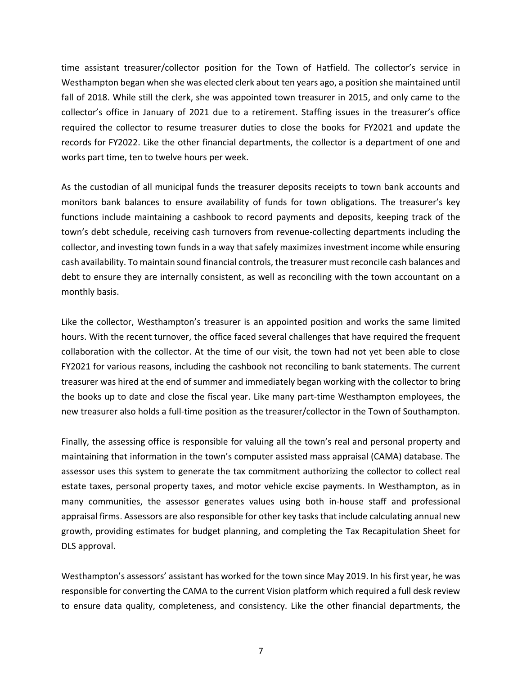time assistant treasurer/collector position for the Town of Hatfield. The collector's service in Westhampton began when she was elected clerk about ten years ago, a position she maintained until fall of 2018. While still the clerk, she was appointed town treasurer in 2015, and only came to the collector's office in January of 2021 due to a retirement. Staffing issues in the treasurer's office required the collector to resume treasurer duties to close the books for FY2021 and update the records for FY2022. Like the other financial departments, the collector is a department of one and works part time, ten to twelve hours per week.

As the custodian of all municipal funds the treasurer deposits receipts to town bank accounts and monitors bank balances to ensure availability of funds for town obligations. The treasurer's key functions include maintaining a cashbook to record payments and deposits, keeping track of the town's debt schedule, receiving cash turnovers from revenue-collecting departments including the collector, and investing town funds in a way that safely maximizes investment income while ensuring cash availability. To maintain sound financial controls, the treasurer must reconcile cash balances and debt to ensure they are internally consistent, as well as reconciling with the town accountant on a monthly basis.

Like the collector, Westhampton's treasurer is an appointed position and works the same limited hours. With the recent turnover, the office faced several challenges that have required the frequent collaboration with the collector. At the time of our visit, the town had not yet been able to close FY2021 for various reasons, including the cashbook not reconciling to bank statements. The current treasurer was hired at the end of summer and immediately began working with the collector to bring the books up to date and close the fiscal year. Like many part-time Westhampton employees, the new treasurer also holds a full-time position as the treasurer/collector in the Town of Southampton.

Finally, the assessing office is responsible for valuing all the town's real and personal property and maintaining that information in the town's computer assisted mass appraisal (CAMA) database. The assessor uses this system to generate the tax commitment authorizing the collector to collect real estate taxes, personal property taxes, and motor vehicle excise payments. In Westhampton, as in many communities, the assessor generates values using both in-house staff and professional appraisal firms. Assessors are also responsible for other key tasks that include calculating annual new growth, providing estimates for budget planning, and completing the Tax Recapitulation Sheet for DLS approval.

Westhampton's assessors' assistant has worked for the town since May 2019. In his first year, he was responsible for converting the CAMA to the current Vision platform which required a full desk review to ensure data quality, completeness, and consistency. Like the other financial departments, the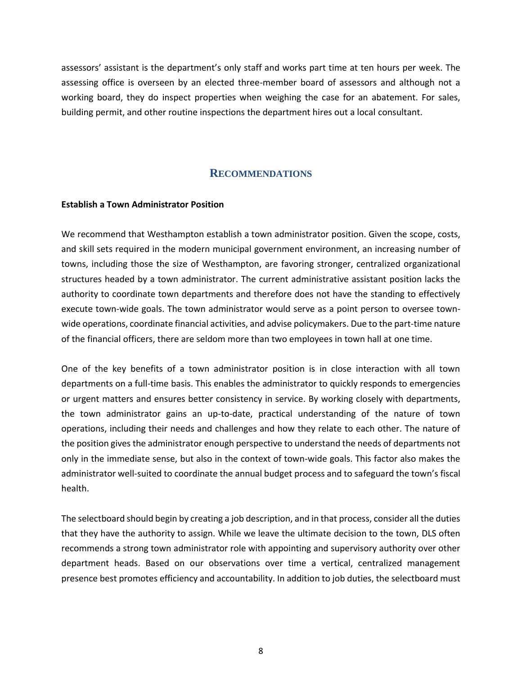assessors' assistant is the department's only staff and works part time at ten hours per week. The assessing office is overseen by an elected three-member board of assessors and although not a working board, they do inspect properties when weighing the case for an abatement. For sales, building permit, and other routine inspections the department hires out a local consultant.

# **RECOMMENDATIONS**

#### <span id="page-13-1"></span><span id="page-13-0"></span>**Establish a Town Administrator Position**

We recommend that Westhampton establish a town administrator position. Given the scope, costs, and skill sets required in the modern municipal government environment, an increasing number of towns, including those the size of Westhampton, are favoring stronger, centralized organizational structures headed by a town administrator. The current administrative assistant position lacks the authority to coordinate town departments and therefore does not have the standing to effectively execute town-wide goals. The town administrator would serve as a point person to oversee townwide operations, coordinate financial activities, and advise policymakers. Due to the part-time nature of the financial officers, there are seldom more than two employees in town hall at one time.

One of the key benefits of a town administrator position is in close interaction with all town departments on a full-time basis. This enables the administrator to quickly responds to emergencies or urgent matters and ensures better consistency in service. By working closely with departments, the town administrator gains an up-to-date, practical understanding of the nature of town operations, including their needs and challenges and how they relate to each other. The nature of the position gives the administrator enough perspective to understand the needs of departments not only in the immediate sense, but also in the context of town-wide goals. This factor also makes the administrator well-suited to coordinate the annual budget process and to safeguard the town's fiscal health.

The selectboard should begin by creating a job description, and in that process, consider all the duties that they have the authority to assign. While we leave the ultimate decision to the town, DLS often recommends a strong town administrator role with appointing and supervisory authority over other department heads. Based on our observations over time a vertical, centralized management presence best promotes efficiency and accountability. In addition to job duties, the selectboard must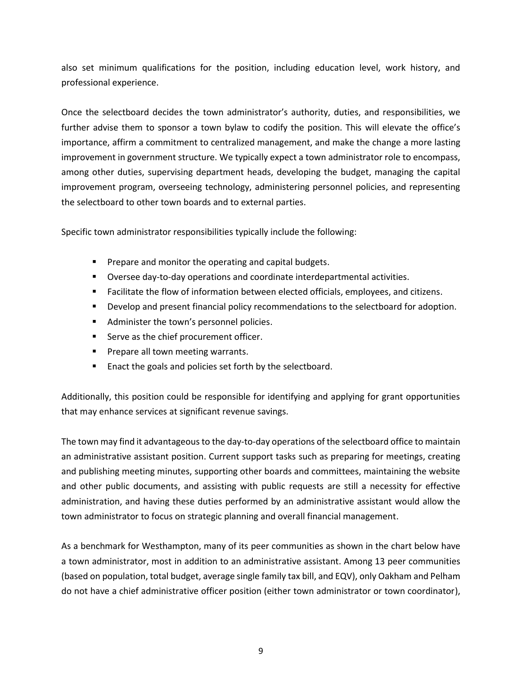also set minimum qualifications for the position, including education level, work history, and professional experience.

Once the selectboard decides the town administrator's authority, duties, and responsibilities, we further advise them to sponsor a town bylaw to codify the position. This will elevate the office's importance, affirm a commitment to centralized management, and make the change a more lasting improvement in government structure. We typically expect a town administrator role to encompass, among other duties, supervising department heads, developing the budget, managing the capital improvement program, overseeing technology, administering personnel policies, and representing the selectboard to other town boards and to external parties.

Specific town administrator responsibilities typically include the following:

- Prepare and monitor the operating and capital budgets.
- Oversee day-to-day operations and coordinate interdepartmental activities.
- Facilitate the flow of information between elected officials, employees, and citizens.
- **•** Develop and present financial policy recommendations to the selectboard for adoption.
- Administer the town's personnel policies.
- Serve as the chief procurement officer.
- Prepare all town meeting warrants.
- Enact the goals and policies set forth by the selectboard.

Additionally, this position could be responsible for identifying and applying for grant opportunities that may enhance services at significant revenue savings.

The town may find it advantageous to the day-to-day operations of the selectboard office to maintain an administrative assistant position. Current support tasks such as preparing for meetings, creating and publishing meeting minutes, supporting other boards and committees, maintaining the website and other public documents, and assisting with public requests are still a necessity for effective administration, and having these duties performed by an administrative assistant would allow the town administrator to focus on strategic planning and overall financial management.

As a benchmark for Westhampton, many of its peer communities as shown in the chart below have a town administrator, most in addition to an administrative assistant. Among 13 peer communities (based on population, total budget, average single family tax bill, and EQV), only Oakham and Pelham do not have a chief administrative officer position (either town administrator or town coordinator),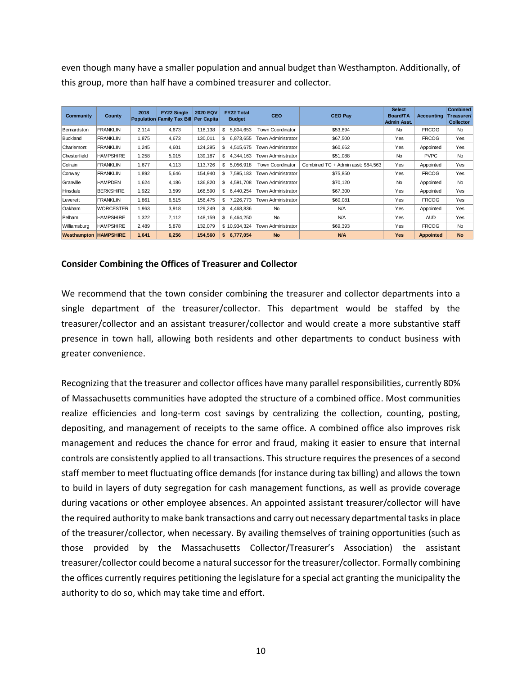even though many have a smaller population and annual budget than Westhampton. Additionally, of this group, more than half have a combined treasurer and collector.

| Community                    | <b>County</b>    | 2018  | <b>FY22 Single</b><br><b>Population Family Tax Bill</b> | <b>2020 EQV</b><br><b>Per Capita</b> | <b>FY22 Total</b><br><b>Budget</b> | <b>CEO</b>                | <b>CEO Pay</b>                     | <b>Select</b><br><b>Board/TA</b><br>Admin Asst. | <b>Accounting</b> | <b>Combined</b><br>Treasurer/<br><b>Collector</b> |
|------------------------------|------------------|-------|---------------------------------------------------------|--------------------------------------|------------------------------------|---------------------------|------------------------------------|-------------------------------------------------|-------------------|---------------------------------------------------|
| Bernardston                  | <b>FRANKLIN</b>  | 2,114 | 4.673                                                   | 118.138                              | \$<br>5,804,653                    | <b>Town Coordinator</b>   | \$53.894                           | No                                              | <b>FRCOG</b>      | <b>No</b>                                         |
| <b>Buckland</b>              | <b>FRANKLIN</b>  | 1,875 | 4,673                                                   | 130,011                              | \$<br>6,873,655                    | <b>Town Administrator</b> | \$67,500                           | Yes                                             | <b>FRCOG</b>      | Yes                                               |
| Charlemont                   | <b>FRANKLIN</b>  | 1,245 | 4,601                                                   | 124,295                              | \$<br>4,515,675                    | <b>Town Administrator</b> | \$60,662                           | Yes                                             | Appointed         | Yes                                               |
| Chesterfield                 | <b>HAMPSHIRE</b> | 1,258 | 5,015                                                   | 139,187                              | \$<br>4.344.163                    | <b>Town Administrator</b> | \$51,088                           | No                                              | <b>PVPC</b>       | <b>No</b>                                         |
| Colrain                      | <b>FRANKLIN</b>  | 1.677 | 4,113                                                   | 113,726                              | \$<br>5.056.918                    | <b>Town Coordinator</b>   | Combined TC + Admin asst: \$84.563 | Yes                                             | Appointed         | Yes                                               |
| Conway                       | <b>FRANKLIN</b>  | 1,892 | 5.646                                                   | 154,940                              | \$<br>7.595.183                    | <b>Town Administrator</b> | \$75,850                           | Yes                                             | <b>FRCOG</b>      | Yes                                               |
| Granville                    | <b>HAMPDEN</b>   | 1,624 | 4,186                                                   | 136,820                              | \$<br>4,591,708                    | <b>Town Administrator</b> | \$70,120                           | No                                              | Appointed         | <b>No</b>                                         |
| Hinsdale                     | <b>BERKSHIRE</b> | 1,922 | 3,599                                                   | 168,590                              | \$<br>6,440,254                    | Town Administrator        | \$67,300                           | Yes                                             | Appointed         | Yes                                               |
| Leverett                     | <b>FRANKLIN</b>  | 1,861 | 6,515                                                   | 156,475                              | \$<br>7,226,773                    | <b>Town Administrator</b> | \$60,081                           | Yes                                             | <b>FRCOG</b>      | Yes                                               |
| Oakham                       | <b>WORCESTER</b> | 1,963 | 3,918                                                   | 129,249                              | \$<br>4.468.836                    | <b>No</b>                 | <b>N/A</b>                         | Yes                                             | Appointed         | Yes                                               |
| Pelham                       | <b>HAMPSHIRE</b> | 1,322 | 7,112                                                   | 148.159                              | \$<br>6,464,250                    | <b>No</b>                 | <b>N/A</b>                         | Yes                                             | <b>AUD</b>        | Yes                                               |
| Williamsburg                 | <b>HAMPSHIRE</b> | 2,489 | 5,878                                                   | 132,079                              | \$10,934,324                       | <b>Town Administrator</b> | \$69,393                           | Yes                                             | <b>FRCOG</b>      | <b>No</b>                                         |
| <b>Westhampton HAMPSHIRE</b> |                  | 1,641 | 6,256                                                   | 154,560                              | \$6,777,054                        | <b>No</b>                 | <b>N/A</b>                         | <b>Yes</b>                                      | <b>Appointed</b>  | <b>No</b>                                         |

#### <span id="page-15-0"></span>**Consider Combining the Offices of Treasurer and Collector**

We recommend that the town consider combining the treasurer and collector departments into a single department of the treasurer/collector. This department would be staffed by the treasurer/collector and an assistant treasurer/collector and would create a more substantive staff presence in town hall, allowing both residents and other departments to conduct business with greater convenience.

Recognizing that the treasurer and collector offices have many parallel responsibilities, currently 80% of Massachusetts communities have adopted the structure of a combined office. Most communities realize efficiencies and long-term cost savings by centralizing the collection, counting, posting, depositing, and management of receipts to the same office. A combined office also improves risk management and reduces the chance for error and fraud, making it easier to ensure that internal controls are consistently applied to all transactions. This structure requires the presences of a second staff member to meet fluctuating office demands (for instance during tax billing) and allows the town to build in layers of duty segregation for cash management functions, as well as provide coverage during vacations or other employee absences. An appointed assistant treasurer/collector will have the required authority to make bank transactions and carry out necessary departmental tasks in place of the treasurer/collector, when necessary. By availing themselves of training opportunities (such as those provided by the Massachusetts Collector/Treasurer's Association) the assistant treasurer/collector could become a natural successor for the treasurer/collector. Formally combining the offices currently requires petitioning the legislature for a special act granting the municipality the authority to do so, which may take time and effort.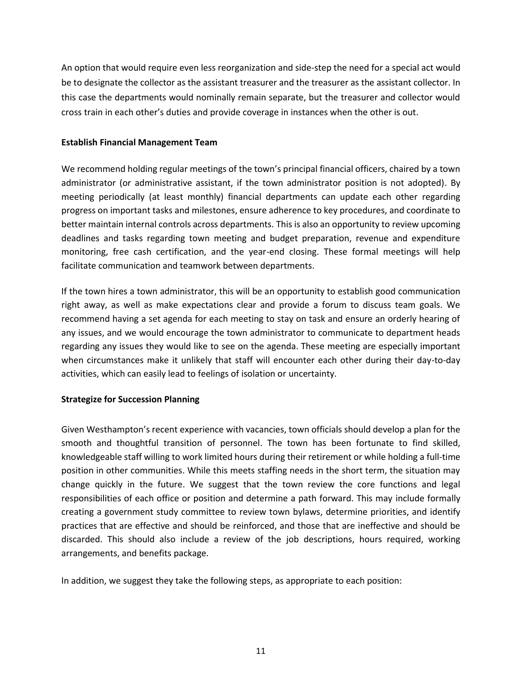An option that would require even less reorganization and side-step the need for a special act would be to designate the collector as the assistant treasurer and the treasurer as the assistant collector. In this case the departments would nominally remain separate, but the treasurer and collector would cross train in each other's duties and provide coverage in instances when the other is out.

#### <span id="page-16-0"></span>**Establish Financial Management Team**

We recommend holding regular meetings of the town's principal financial officers, chaired by a town administrator (or administrative assistant, if the town administrator position is not adopted). By meeting periodically (at least monthly) financial departments can update each other regarding progress on important tasks and milestones, ensure adherence to key procedures, and coordinate to better maintain internal controls across departments. This is also an opportunity to review upcoming deadlines and tasks regarding town meeting and budget preparation, revenue and expenditure monitoring, free cash certification, and the year-end closing. These formal meetings will help facilitate communication and teamwork between departments.

If the town hires a town administrator, this will be an opportunity to establish good communication right away, as well as make expectations clear and provide a forum to discuss team goals. We recommend having a set agenda for each meeting to stay on task and ensure an orderly hearing of any issues, and we would encourage the town administrator to communicate to department heads regarding any issues they would like to see on the agenda. These meeting are especially important when circumstances make it unlikely that staff will encounter each other during their day-to-day activities, which can easily lead to feelings of isolation or uncertainty.

## <span id="page-16-1"></span>**Strategize for Succession Planning**

Given Westhampton's recent experience with vacancies, town officials should develop a plan for the smooth and thoughtful transition of personnel. The town has been fortunate to find skilled, knowledgeable staff willing to work limited hours during their retirement or while holding a full-time position in other communities. While this meets staffing needs in the short term, the situation may change quickly in the future. We suggest that the town review the core functions and legal responsibilities of each office or position and determine a path forward. This may include formally creating a government study committee to review town bylaws, determine priorities, and identify practices that are effective and should be reinforced, and those that are ineffective and should be discarded. This should also include a review of the job descriptions, hours required, working arrangements, and benefits package.

In addition, we suggest they take the following steps, as appropriate to each position: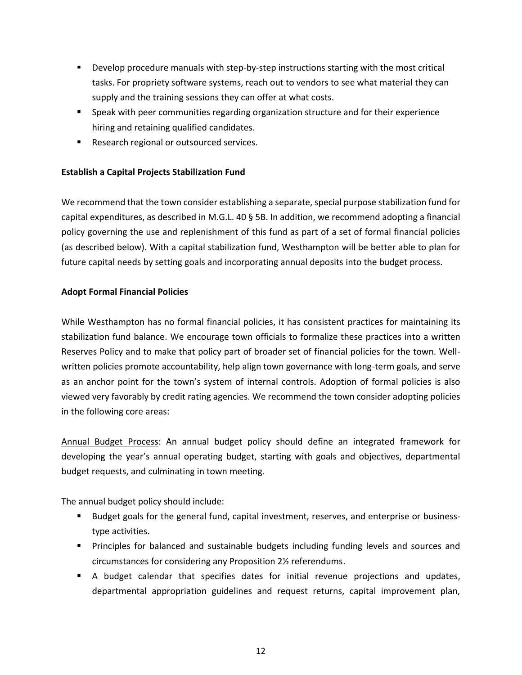- **•** Develop procedure manuals with step-by-step instructions starting with the most critical tasks. For propriety software systems, reach out to vendors to see what material they can supply and the training sessions they can offer at what costs.
- **EXE** Speak with peer communities regarding organization structure and for their experience hiring and retaining qualified candidates.
- Research regional or outsourced services.

## <span id="page-17-0"></span>**Establish a Capital Projects Stabilization Fund**

We recommend that the town consider establishing a separate, special purpose stabilization fund for capital expenditures, as described in M.G.L. 40 § 5B. In addition, we recommend adopting a financial policy governing the use and replenishment of this fund as part of a set of formal financial policies (as described below). With a capital stabilization fund, Westhampton will be better able to plan for future capital needs by setting goals and incorporating annual deposits into the budget process.

## <span id="page-17-1"></span>**Adopt Formal Financial Policies**

While Westhampton has no formal financial policies, it has consistent practices for maintaining its stabilization fund balance. We encourage town officials to formalize these practices into a written Reserves Policy and to make that policy part of broader set of financial policies for the town. Wellwritten policies promote accountability, help align town governance with long-term goals, and serve as an anchor point for the town's system of internal controls. Adoption of formal policies is also viewed very favorably by credit rating agencies. We recommend the town consider adopting policies in the following core areas:

Annual Budget Process: An annual budget policy should define an integrated framework for developing the year's annual operating budget, starting with goals and objectives, departmental budget requests, and culminating in town meeting.

The annual budget policy should include:

- Budget goals for the general fund, capital investment, reserves, and enterprise or businesstype activities.
- **•** Principles for balanced and sustainable budgets including funding levels and sources and circumstances for considering any Proposition 2½ referendums.
- **E** A budget calendar that specifies dates for initial revenue projections and updates, departmental appropriation guidelines and request returns, capital improvement plan,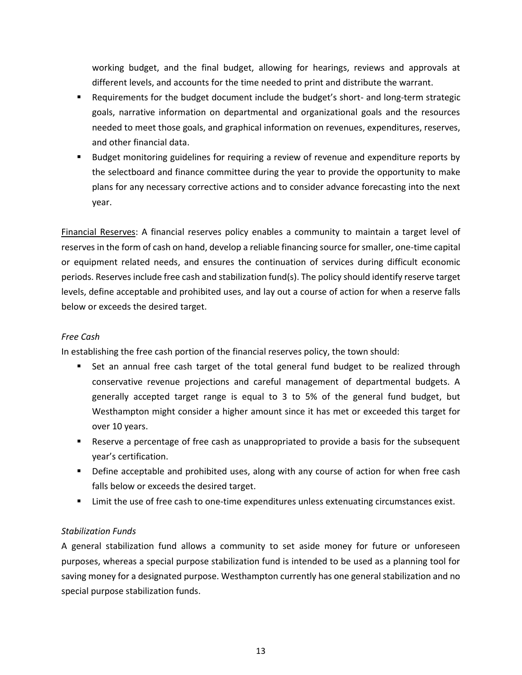working budget, and the final budget, allowing for hearings, reviews and approvals at different levels, and accounts for the time needed to print and distribute the warrant.

- Requirements for the budget document include the budget's short- and long-term strategic goals, narrative information on departmental and organizational goals and the resources needed to meet those goals, and graphical information on revenues, expenditures, reserves, and other financial data.
- Budget monitoring guidelines for requiring a review of revenue and expenditure reports by the selectboard and finance committee during the year to provide the opportunity to make plans for any necessary corrective actions and to consider advance forecasting into the next year.

Financial Reserves: A financial reserves policy enables a community to maintain a target level of reserves in the form of cash on hand, develop a reliable financing source for smaller, one-time capital or equipment related needs, and ensures the continuation of services during difficult economic periods. Reserves include free cash and stabilization fund(s). The policy should identify reserve target levels, define acceptable and prohibited uses, and lay out a course of action for when a reserve falls below or exceeds the desired target.

## *Free Cash*

In establishing the free cash portion of the financial reserves policy, the town should:

- Set an annual free cash target of the total general fund budget to be realized through conservative revenue projections and careful management of departmental budgets. A generally accepted target range is equal to 3 to 5% of the general fund budget, but Westhampton might consider a higher amount since it has met or exceeded this target for over 10 years.
- Reserve a percentage of free cash as unappropriated to provide a basis for the subsequent year's certification.
- **•** Define acceptable and prohibited uses, along with any course of action for when free cash falls below or exceeds the desired target.
- **EXECT** Limit the use of free cash to one-time expenditures unless extenuating circumstances exist.

## *Stabilization Funds*

A general stabilization fund allows a community to set aside money for future or unforeseen purposes, whereas a special purpose stabilization fund is intended to be used as a planning tool for saving money for a designated purpose. Westhampton currently has one general stabilization and no special purpose stabilization funds.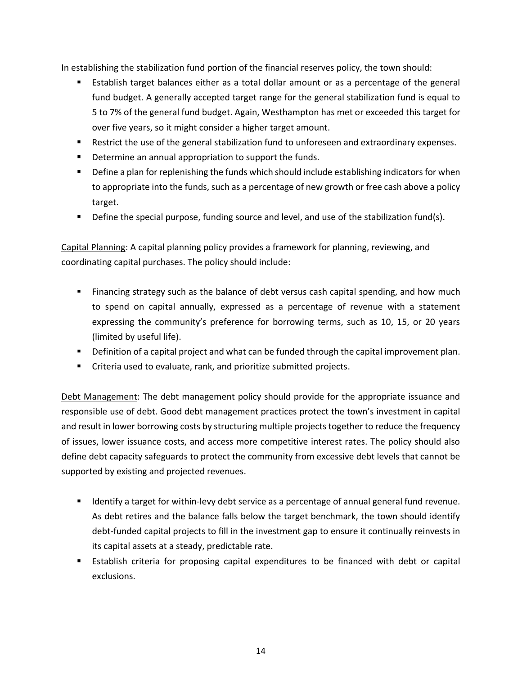In establishing the stabilization fund portion of the financial reserves policy, the town should:

- Establish target balances either as a total dollar amount or as a percentage of the general fund budget. A generally accepted target range for the general stabilization fund is equal to 5 to 7% of the general fund budget. Again, Westhampton has met or exceeded this target for over five years, so it might consider a higher target amount.
- Restrict the use of the general stabilization fund to unforeseen and extraordinary expenses.
- Determine an annual appropriation to support the funds.
- **•** Define a plan for replenishing the funds which should include establishing indicators for when to appropriate into the funds, such as a percentage of new growth or free cash above a policy target.
- Define the special purpose, funding source and level, and use of the stabilization fund(s).

Capital Planning: A capital planning policy provides a framework for planning, reviewing, and coordinating capital purchases. The policy should include:

- Financing strategy such as the balance of debt versus cash capital spending, and how much to spend on capital annually, expressed as a percentage of revenue with a statement expressing the community's preference for borrowing terms, such as 10, 15, or 20 years (limited by useful life).
- **•** Definition of a capital project and what can be funded through the capital improvement plan.
- Criteria used to evaluate, rank, and prioritize submitted projects.

Debt Management: The debt management policy should provide for the appropriate issuance and responsible use of debt. Good debt management practices protect the town's investment in capital and result in lower borrowing costs by structuring multiple projects together to reduce the frequency of issues, lower issuance costs, and access more competitive interest rates. The policy should also define debt capacity safeguards to protect the community from excessive debt levels that cannot be supported by existing and projected revenues.

- **■** Identify a target for within-levy debt service as a percentage of annual general fund revenue. As debt retires and the balance falls below the target benchmark, the town should identify debt-funded capital projects to fill in the investment gap to ensure it continually reinvests in its capital assets at a steady, predictable rate.
- **E** Establish criteria for proposing capital expenditures to be financed with debt or capital exclusions.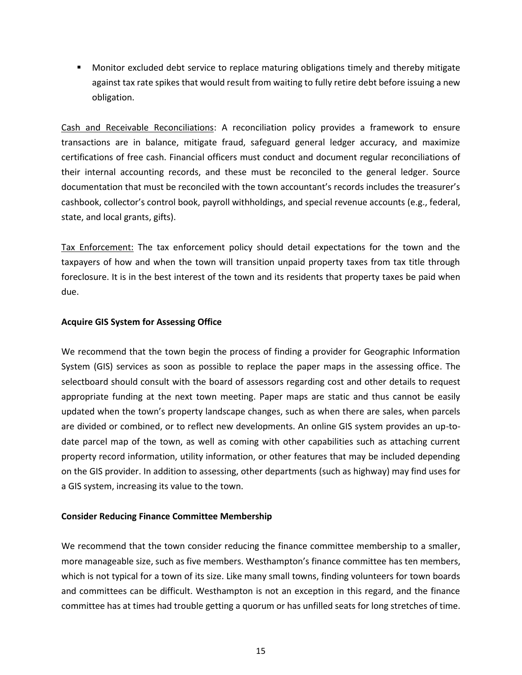■ Monitor excluded debt service to replace maturing obligations timely and thereby mitigate against tax rate spikes that would result from waiting to fully retire debt before issuing a new obligation.

Cash and Receivable Reconciliations: A reconciliation policy provides a framework to ensure transactions are in balance, mitigate fraud, safeguard general ledger accuracy, and maximize certifications of free cash. Financial officers must conduct and document regular reconciliations of their internal accounting records, and these must be reconciled to the general ledger. Source documentation that must be reconciled with the town accountant's records includes the treasurer's cashbook, collector's control book, payroll withholdings, and special revenue accounts (e.g., federal, state, and local grants, gifts).

Tax Enforcement: The tax enforcement policy should detail expectations for the town and the taxpayers of how and when the town will transition unpaid property taxes from tax title through foreclosure. It is in the best interest of the town and its residents that property taxes be paid when due.

## <span id="page-20-0"></span>**Acquire GIS System for Assessing Office**

We recommend that the town begin the process of finding a provider for Geographic Information System (GIS) services as soon as possible to replace the paper maps in the assessing office. The selectboard should consult with the board of assessors regarding cost and other details to request appropriate funding at the next town meeting. Paper maps are static and thus cannot be easily updated when the town's property landscape changes, such as when there are sales, when parcels are divided or combined, or to reflect new developments. An online GIS system provides an up-todate parcel map of the town, as well as coming with other capabilities such as attaching current property record information, utility information, or other features that may be included depending on the GIS provider. In addition to assessing, other departments (such as highway) may find uses for a GIS system, increasing its value to the town.

#### <span id="page-20-1"></span>**Consider Reducing Finance Committee Membership**

We recommend that the town consider reducing the finance committee membership to a smaller, more manageable size, such as five members. Westhampton's finance committee has ten members, which is not typical for a town of its size. Like many small towns, finding volunteers for town boards and committees can be difficult. Westhampton is not an exception in this regard, and the finance committee has at times had trouble getting a quorum or has unfilled seats for long stretches of time.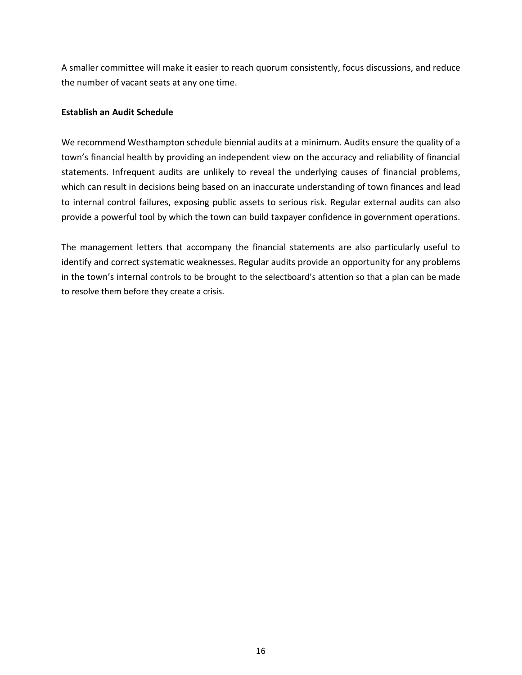A smaller committee will make it easier to reach quorum consistently, focus discussions, and reduce the number of vacant seats at any one time.

#### <span id="page-21-0"></span>**Establish an Audit Schedule**

We recommend Westhampton schedule biennial audits at a minimum. Audits ensure the quality of a town's financial health by providing an independent view on the accuracy and reliability of financial statements. Infrequent audits are unlikely to reveal the underlying causes of financial problems, which can result in decisions being based on an inaccurate understanding of town finances and lead to internal control failures, exposing public assets to serious risk. Regular external audits can also provide a powerful tool by which the town can build taxpayer confidence in government operations.

The management letters that accompany the financial statements are also particularly useful to identify and correct systematic weaknesses. Regular audits provide an opportunity for any problems in the town's internal controls to be brought to the selectboard's attention so that a plan can be made to resolve them before they create a crisis.